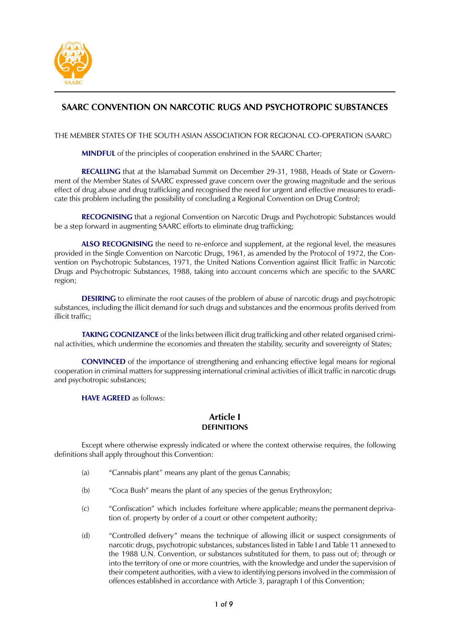

# SAARC CONVENTION ON NARCOTIC RUGS AND PSYCHOTROPIC SUBSTANCES

THE MEMBER STATES OF THE SOUTH ASIAN ASSOCIATION FOR REGIONAL CO-OPERATION (SAARC)

**MINDFUL** of the principles of cooperation enshrined in the SAARC Charter;

RECALLING that at the Islamabad Summit on December 29-31, 1988, Heads of State or Government of the Member States of SAARC expressed grave concern over the growing magnitude and the serious effect of drug abuse and drug trafficking and recognised the need for urgent and effective measures to eradicate this problem including the possibility of concluding a Regional Convention on Drug Control;

**RECOGNISING** that a regional Convention on Narcotic Drugs and Psychotropic Substances would be a step forward in augmenting SAARC efforts to eliminate drug trafficking;

ALSO RECOGNISING the need to re-enforce and supplement, at the regional level, the measures provided in the Single Convention on Narcotic Drugs, 1961, as amended by the Protocol of 1972, the Convention on Psychotropic Substances, 1971, the United Nations Convention against Illicit Traffic in Narcotic Drugs and Psychotropic Substances, 1988, taking into account concerns which are specific to the SAARC region;

**DESIRING** to eliminate the root causes of the problem of abuse of narcotic drugs and psychotropic substances, including the illicit demand for such drugs and substances and the enormous profits derived from illicit traffic;

TAKING COGNIZANCE of the links between illicit drug trafficking and other related organised criminal activities, which undermine the economies and threaten the stability, security and sovereignty of States;

**CONVINCED** of the importance of strengthening and enhancing effective legal means for regional cooperation in criminal matters for suppressing international criminal activities of illicit traffic in narcotic drugs and psychotropic substances;

**HAVE AGREED** as follows:

# Article I **DEFINITIONS**

Except where otherwise expressly indicated or where the context otherwise requires, the following definitions shall apply throughout this Convention:

- $(a)$ "Cannabis plant" means any plant of the genus Cannabis;
- "Coca Bush" means the plant of any species of the genus Erythroxylon;  $(b)$
- "Confiscation" which includes forfeiture where applicable; means the permanent depriva- $(C)$ tion of. property by order of a court or other competent authority;
- $(d)$ "Controlled delivery" means the technique of allowing illicit or suspect consignments of narcotic drugs, psychotropic substances, substances listed in Table I and Table 11 annexed to the 1988 U.N. Convention, or substances substituted for them, to pass out of; through or into the territory of one or more countries, with the knowledge and under the supervision of their competent authorities, with a view to identifying persons involved in the commission of offences established in accordance with Article 3, paragraph I of this Convention;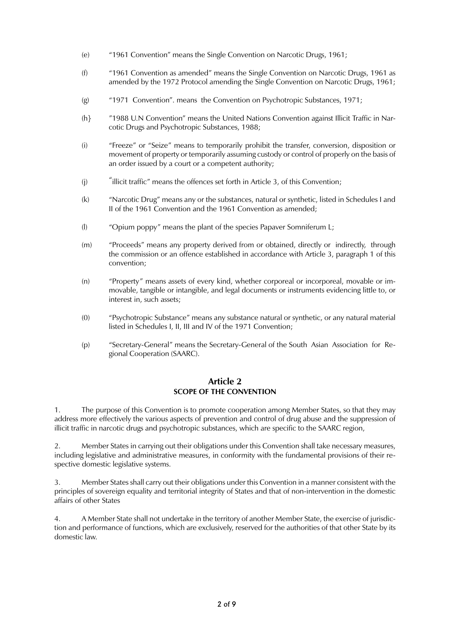- "1961 Convention" means the Single Convention on Narcotic Drugs, 1961;  $(e)$
- "1961 Convention as amended" means the Single Convention on Narcotic Drugs, 1961 as  $(f)$ amended by the 1972 Protocol amending the Single Convention on Narcotic Drugs, 1961;
- "1971 Convention". means the Convention on Psychotropic Substances, 1971;  $(g)$
- $(h)$ "1988 U.N Convention" means the United Nations Convention against Illicit Traffic in Narcotic Drugs and Psychotropic Substances, 1988;
- $(i)$ "Freeze" or "Seize" means to temporarily prohibit the transfer, conversion, disposition or movement of property or temporarily assuming custody or control of properly on the basis of an order issued by a court or a competent authority;
- "illicit traffic" means the offences set forth in Article 3, of this Convention;  $(i)$
- "Narcotic Drug" means any or the substances, natural or synthetic, listed in Schedules I and  $(k)$ Il of the 1961 Convention and the 1961 Convention as amended;
- $($ |) "Opium poppy" means the plant of the species Papaver Somniferum L;
- $(m)$ "Proceeds" means any property derived from or obtained, directly or indirectly, through the commission or an offence established in accordance with Article 3, paragraph 1 of this convention:
- "Property" means assets of every kind, whether corporeal or incorporeal, movable or im- $(n)$ movable, tangible or intangible, and legal documents or instruments evidencing little to, or interest in, such assets;
- "Psychotropic Substance" means any substance natural or synthetic, or any natural material  $(0)$ listed in Schedules I, II, III and IV of the 1971 Convention;
- $(p)$ "Secretary-General" means the Secretary-General of the South Asian Association for Regional Cooperation (SAARC).

#### **Article 2 SCOPE OF THE CONVENTION**

 $1.$ The purpose of this Convention is to promote cooperation among Member States, so that they may address more effectively the various aspects of prevention and control of drug abuse and the suppression of illicit traffic in narcotic drugs and psychotropic substances, which are specific to the SAARC region,

 $\overline{2}$ . Member States in carrying out their obligations under this Convention shall take necessary measures, including legislative and administrative measures, in conformity with the fundamental provisions of their respective domestic legislative systems.

3. Member States shall carry out their obligations under this Convention in a manner consistent with the principles of sovereign equality and territorial integrity of States and that of non-intervention in the domestic affairs of other States

A Member State shall not undertake in the territory of another Member State, the exercise of jurisdic- $\overline{4}$ . tion and performance of functions, which are exclusively, reserved for the authorities of that other State by its domestic law.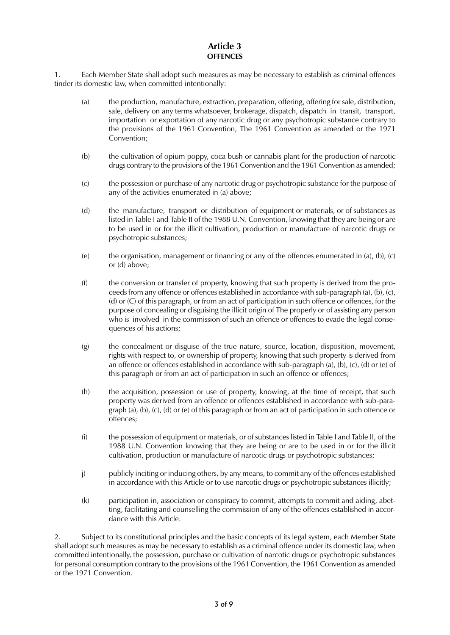# Article 3 **OFFENCES**

 $\mathbf{1}$ . Each Member State shall adopt such measures as may be necessary to establish as criminal offences tinder its domestic law, when committed intentionally:

- $(a)$ the production, manufacture, extraction, preparation, offering, offering for sale, distribution, sale, delivery on any terms whatsoever, brokerage, dispatch, dispatch in transit, transport, importation or exportation of any narcotic drug or any psychotropic substance contrary to the provisions of the 1961 Convention, The 1961 Convention as amended or the 1971 Convention:
- $(b)$ the cultivation of opium poppy, coca bush or cannabis plant for the production of narcotic drugs contrary to the provisions of the 1961 Convention and the 1961 Convention as amended;
- $(C)$ the possession or purchase of any narcotic drug or psychotropic substance for the purpose of any of the activities enumerated in (a) above;
- $(d)$ the manufacture, transport or distribution of equipment or materials, or of substances as listed in Table I and Table II of the 1988 U.N. Convention, knowing that they are being or are to be used in or for the illicit cultivation, production or manufacture of narcotic drugs or psychotropic substances;
- the organisation, management or financing or any of the offences enumerated in (a), (b), (c)  $(e)$ or (d) above;
- $(f)$ the conversion or transfer of property, knowing that such property is derived from the proceeds from any offence or offences established in accordance with sub-paragraph (a), (b), (c), (d) or (C) of this paragraph, or from an act of participation in such offence or offences, for the purpose of concealing or disguising the illicit origin of The properly or of assisting any person who is involved in the commission of such an offence or offences to evade the legal consequences of his actions;
- $(g)$ the concealment or disguise of the true nature, source, location, disposition, movement, rights with respect to, or ownership of property, knowing that such property is derived from an offence or offences established in accordance with sub-paragraph (a), (b), (c), (d) or (e) of this paragraph or from an act of participation in such an offence or offences;
- $(h)$ the acquisition, possession or use of property, knowing, at the time of receipt, that such property was derived from an offence or offences established in accordance with sub-paragraph (a), (b), (c), (d) or (e) of this paragraph or from an act of participation in such offence or offences;
- $(i)$ the possession of equipment or materials, or of substances listed in Table I and Table II, of the 1988 U.N. Convention knowing that they are being or are to be used in or for the illicit cultivation, production or manufacture of narcotic drugs or psychotropic substances;
- publicly inciting or inducing others, by any means, to commit any of the offences established  $\mathsf{I}$ in accordance with this Article or to use narcotic drugs or psychotropic substances illicitly;
- $(k)$ participation in, association or conspiracy to commit, attempts to commit and aiding, abetting, facilitating and counselling the commission of any of the offences established in accordance with this Article.

2. Subject to its constitutional principles and the basic concepts of its legal system, each Member State shall adopt such measures as may be necessary to establish as a criminal offence under its domestic law, when committed intentionally, the possession, purchase or cultivation of narcotic drugs or psychotropic substances for personal consumption contrary to the provisions of the 1961 Convention, the 1961 Convention as amended or the 1971 Convention.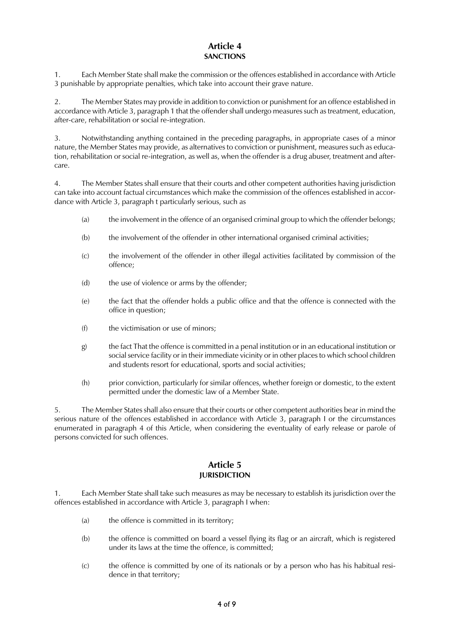# Article 4 **SANCTIONS**

Each Member State shall make the commission or the offences established in accordance with Article  $1<sup>1</sup>$ 3 punishable by appropriate penalties, which take into account their grave nature.

 $2<sub>1</sub>$ The Member States may provide in addition to conviction or punishment for an offence established in accordance with Article 3, paragraph 1 that the offender shall undergo measures such as treatment, education, after-care, rehabilitation or social re-integration.

 $3.$ Notwithstanding anything contained in the preceding paragraphs, in appropriate cases of a minor nature, the Member States may provide, as alternatives to conviction or punishment, measures such as education, rehabilitation or social re-integration, as well as, when the offender is a drug abuser, treatment and aftercare.

 $4.$ The Member States shall ensure that their courts and other competent authorities having jurisdiction can take into account factual circumstances which make the commission of the offences established in accordance with Article 3, paragraph t particularly serious, such as

- the involvement in the offence of an organised criminal group to which the offender belongs;  $(a)$
- the involvement of the offender in other international organised criminal activities;  $(b)$
- the involvement of the offender in other illegal activities facilitated by commission of the  $(C)$ offence:
- the use of violence or arms by the offender;  $(d)$
- the fact that the offender holds a public office and that the offence is connected with the  $(e)$ office in question;
- the victimisation or use of minors;  $(f)$
- the fact That the offence is committed in a penal institution or in an educational institution or  $g$ ) social service facility or in their immediate vicinity or in other places to which school children and students resort for educational, sports and social activities;
- prior conviction, particularly for similar offences, whether foreign or domestic, to the extent  $(h)$ permitted under the domestic law of a Member State.

5. The Member States shall also ensure that their courts or other competent authorities bear in mind the serious nature of the offences established in accordance with Article 3, paragraph I or the circumstances enumerated in paragraph 4 of this Article, when considering the eventuality of early release or parole of persons convicted for such offences.

#### **Article 5 JURISDICTION**

Each Member State shall take such measures as may be necessary to establish its jurisdiction over the  $1<sub>1</sub>$ offences established in accordance with Article 3, paragraph I when:

- $(a)$ the offence is committed in its territory;
- the offence is committed on board a vessel flying its flag or an aircraft, which is registered  $(b)$ under its laws at the time the offence, is committed;
- the offence is committed by one of its nationals or by a person who has his habitual resi- $(C)$ dence in that territory;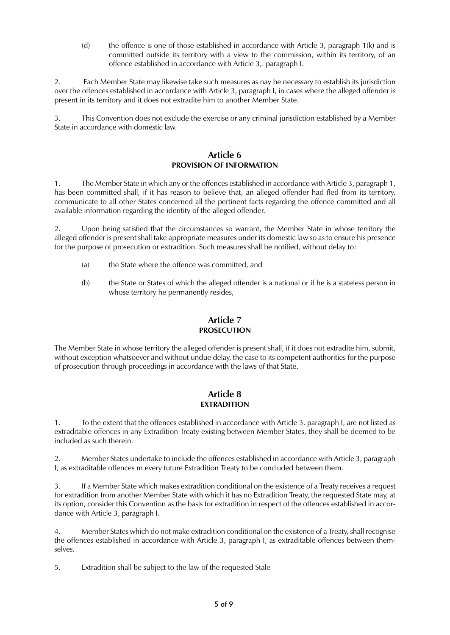$(d)$ the offence is one of those established in accordance with Article 3, paragraph 1(k) and is committed outside its territory with a view to the commission, within its territory, of an offence established in accordance with Article 3, paragraph I.

 $2.$ Each Member State may likewise take such measures as nay be necessary to establish its jurisdiction over the offences established in accordance with Article 3, paragraph I, in cases where the alleged offender is present in its territory and it does not extradite him to another Member State.

 $\overline{3}$ . This Convention does not exclude the exercise or any criminal jurisdiction established by a Member State in accordance with domestic law.

#### Article 6 PROVISION OF INFORMATION

 $1.$ The Member State in which any or the offences established in accordance with Article 3, paragraph 1, has been committed shall, if it has reason to believe that, an alleged offender had fled from its territory, communicate to all other States concerned all the pertinent facts regarding the offence committed and all available information regarding the identity of the alleged offender.

2. Upon being satisfied that the circumstances so warrant, the Member State in whose territory the alleged offender is present shall take appropriate measures under its domestic law so as to ensure his presence for the purpose of prosecution or extradition. Such measures shall be notified, without delay to:

- the State where the offence was committed, and  $(a)$
- the State or States of which the alleged offender is a national or if he is a stateless person in  $(b)$ whose territory he permanently resides,

# Article 7 **PROSECUTION**

The Member State in whose territory the alleged offender is present shall, if it does not extradite him, submit, without exception whatsoever and without undue delay, the case to its competent authorities for the purpose of prosecution through proceedings in accordance with the laws of that State.

## **Article 8 EXTRADITION**

To the extent that the offences established in accordance with Article 3, paragraph I, are not listed as  $1.$ extraditable offences in any Extradition Treaty existing between Member States, they shall be deemed to be included as such therein.

2. Member States undertake to include the offences established in accordance with Article 3, paragraph I, as extraditable offences m every future Extradition Treaty to be concluded between them.

If a Member State which makes extradition conditional on the existence of a Treaty receives a request  $3.$ for extradition from another Member State with which it has no Extradition Treaty, the requested State may, at its option, consider this Convention as the basis for extradition in respect of the offences established in accordance with Article 3, paragraph I.

 $4.$ Member States which do not make extradition conditional on the existence of a Treaty, shall recognise the offences established in accordance with Article 3, paragraph I, as extraditable offences between themselves.

5. Extradition shall be subject to the law of the requested Stale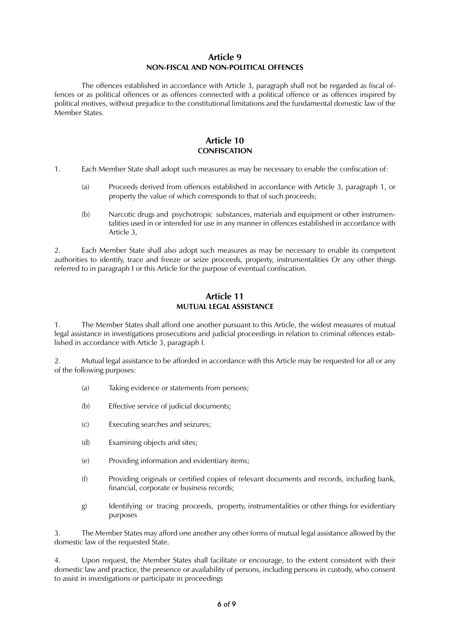#### **Article 9** NON-FISCAL AND NON-POLITICAL OFFENCES

The offences established in accordance with Article 3, paragraph shall not be regarded as fiscal offences or as political offences or as offences connected with a political offence or as offences inspired by political motives, without prejudice to the constitutional limitations and the fundamental domestic law of the Member States.

## **Article 10 CONFISCATION**

- $1<sub>1</sub>$ Each Member State shall adopt such measures as may be necessary to enable the confiscation of:
	- Proceeds derived from offences established in accordance with Article 3, paragraph 1, or  $(a)$ property the value of which corresponds to that of such proceeds;
	- $(b)$ Narcotic drugs and psychotropic substances, materials and equipment or other instrumentalities used in or intended for use in any manner in offences established in accordance with Article 3,

 $\mathcal{P}$ Each Member State shall also adopt such measures as may be necessary to enable its competent authorities to identify, trace and freeze or seize proceeds, property, instrumentalities Or any other things referred to in paragraph I or this Article for the purpose of eventual confiscation.

#### **Article 11 MUTUAL LEGAL ASSISTANCE**

The Member States shall afford one another pursuant to this Article, the widest measures of mutual  $1$ legal assistance in investigations prosecutions arid judicial proceedings in relation to criminal offences established in accordance with Article 3, paragraph I.

 $\overline{2}$ . Mutual legal assistance to be afforded in accordance with this Article may be requested for all or any of the following purposes:

- $(a)$ Taking evidence or statements from persons;
- Effective service of judicial documents;  $(b)$
- $(C)$ Executing searches and seizures;
- $(d)$ Examining objects arid sites;
- Providing information and evidentiary items;  $(e)$
- $(f)$ Providing originals or certified copies of relevant documents and records, including bank, financial, corporate or business records;
- Identifying or tracing proceeds, property, instrumentalities or other things for evidentiary g) purposes

3. The Member States may afford one another any other forms of mutual legal assistance allowed by the domestic law of the requested State.

Upon request, the Member States shall facilitate or encourage, to the extent consistent with their 4. domestic law and practice, the presence or availability of persons, including persons in custody, who consent to assist in investigations or participate in proceedings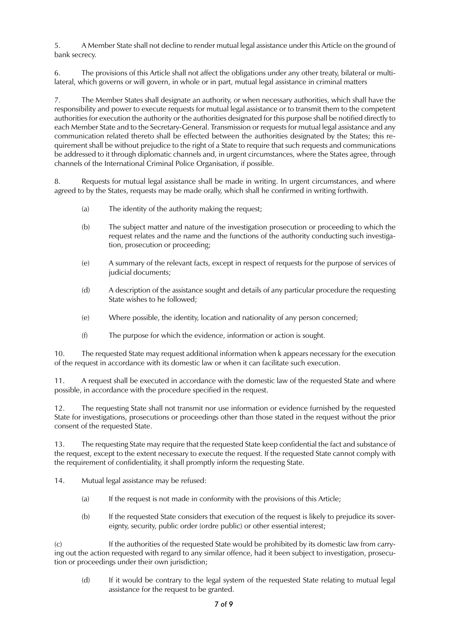5. A Member State shall not decline to render mutual legal assistance under this Article on the ground of bank secrecy.

6. The provisions of this Article shall not affect the obligations under any other treaty, bilateral or multilateral, which governs or will govern, in whole or in part, mutual legal assistance in criminal matters

The Member States shall designate an authority, or when necessary authorities, which shall have the  $\overline{7}$ responsibility and power to execute requests for mutual legal assistance or to transmit them to the competent authorities for execution the authority or the authorities designated for this purpose shall be notified directly to each Member State and to the Secretary-General. Transmission or requests for mutual legal assistance and any communication related thereto shall be effected between the authorities designated by the States; this requirement shall be without prejudice to the right of a State to require that such requests and communications be addressed to it through diplomatic channels and, in urgent circumstances, where the States agree, through channels of the International Criminal Police Organisation, if possible.

Requests for mutual legal assistance shall be made in writing. In urgent circumstances, and where 8. agreed to by the States, requests may be made orally, which shall he confirmed in writing forthwith.

- The identity of the authority making the request;  $(a)$
- The subject matter and nature of the investigation prosecution or proceeding to which the  $(b)$ request relates and the name and the functions of the authority conducting such investigation, prosecution or proceeding;
- $(e)$ A summary of the relevant facts, except in respect of requests for the purpose of services of judicial documents;
- $(d)$ A description of the assistance sought and details of any particular procedure the requesting State wishes to he followed;
- Where possible, the identity, location and nationality of any person concerned;  $(e)$
- $(f)$ The purpose for which the evidence, information or action is sought.

 $10.$ The requested State may request additional information when k appears necessary for the execution of the request in accordance with its domestic law or when it can facilitate such execution.

A request shall be executed in accordance with the domestic law of the requested State and where  $11.$ possible, in accordance with the procedure specified in the request.

 $12.$ The requesting State shall not transmit nor use information or evidence furnished by the requested State for investigations, prosecutions or proceedings other than those stated in the request without the prior consent of the requested State.

13. The requesting State may require that the requested State keep confidential the fact and substance of the request, except to the extent necessary to execute the request. If the requested State cannot comply with the requirement of confidentiality, it shall promptly inform the requesting State.

- 14. Mutual legal assistance may be refused:
	- If the request is not made in conformity with the provisions of this Article;  $(a)$
	- $(b)$ If the requested State considers that execution of the request is likely to prejudice its sovereignty, security, public order (ordre public) or other essential interest;

 $(C)$ If the authorities of the requested State would be prohibited by its domestic law from carrying out the action requested with regard to any similar offence, had it been subject to investigation, prosecution or proceedings under their own jurisdiction;

 $(d)$ If it would be contrary to the legal system of the requested State relating to mutual legal assistance for the request to be granted.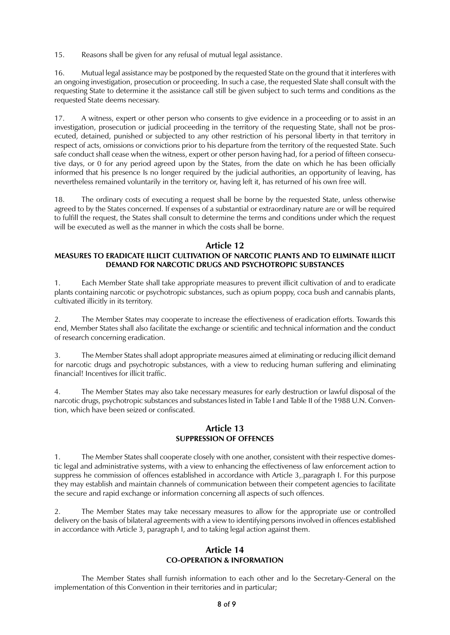$15.$ Reasons shall be given for any refusal of mutual legal assistance.

16. Mutual legal assistance may be postponed by the requested State on the ground that it interferes with an ongoing investigation, prosecution or proceeding. In such a case, the requested Slate shall consult with the requesting State to determine it the assistance call still be given subject to such terms and conditions as the requested State deems necessary.

17. A witness, expert or other person who consents to give evidence in a proceeding or to assist in an investigation, prosecution or judicial proceeding in the territory of the requesting State, shall not be prosecuted, detained, punished or subjected to any other restriction of his personal liberty in that territory in respect of acts, omissions or convictions prior to his departure from the territory of the requested State. Such safe conduct shall cease when the witness, expert or other person having had, for a period of fifteen consecutive days, or 0 for any period agreed upon by the States, from the date on which he has been officially informed that his presence Is no longer required by the judicial authorities, an opportunity of leaving, has nevertheless remained voluntarily in the territory or, having left it, has returned of his own free will.

The ordinary costs of executing a request shall be borne by the requested State, unless otherwise 18 agreed to by the States concerned. If expenses of a substantial or extraordinary nature are or will be required to fulfill the request, the States shall consult to determine the terms and conditions under which the request will be executed as well as the manner in which the costs shall be borne.

# **Article 12**

## MEASURES TO ERADICATE ILLICIT CULTIVATION OF NARCOTIC PLANTS AND TO ELIMINATE ILLICIT DEMAND FOR NARCOTIC DRUGS AND PSYCHOTROPIC SUBSTANCES

Each Member State shall take appropriate measures to prevent illicit cultivation of and to eradicate  $1.$ plants containing narcotic or psychotropic substances, such as opium poppy, coca bush and cannabis plants, cultivated illicitly in its territory.

The Member States may cooperate to increase the effectiveness of eradication efforts. Towards this 2. end, Member States shall also facilitate the exchange or scientific and technical information and the conduct of research concerning eradication.

The Member States shall adopt appropriate measures aimed at eliminating or reducing illicit demand  $3.$ for narcotic drugs and psychotropic substances, with a view to reducing human suffering and eliminating financial! Incentives for illicit traffic.

The Member States may also take necessary measures for early destruction or lawful disposal of the  $4.$ narcotic drugs, psychotropic substances and substances listed in Table I and Table II of the 1988 U.N. Convention, which have been seized or confiscated.

#### **Article 13 SUPPRESSION OF OFFENCES**

The Member States shall cooperate closely with one another, consistent with their respective domes- $1<sub>1</sub>$ tic legal and administrative systems, with a view to enhancing the effectiveness of law enforcement action to suppress he commission of offences established in accordance with Article 3, paragraph I. For this purpose they may establish and maintain channels of communication between their competent agencies to facilitate the secure and rapid exchange or information concerning all aspects of such offences.

 $2.$ The Member States may take necessary measures to allow for the appropriate use or controlled delivery on the basis of bilateral agreements with a view to identifying persons involved in offences established in accordance with Article 3, paragraph I, and to taking legal action against them.

#### **Article 14 CO-OPERATION & INFORMATION**

The Member States shall furnish information to each other and lo the Secretary-General on the implementation of this Convention in their territories and in particular;